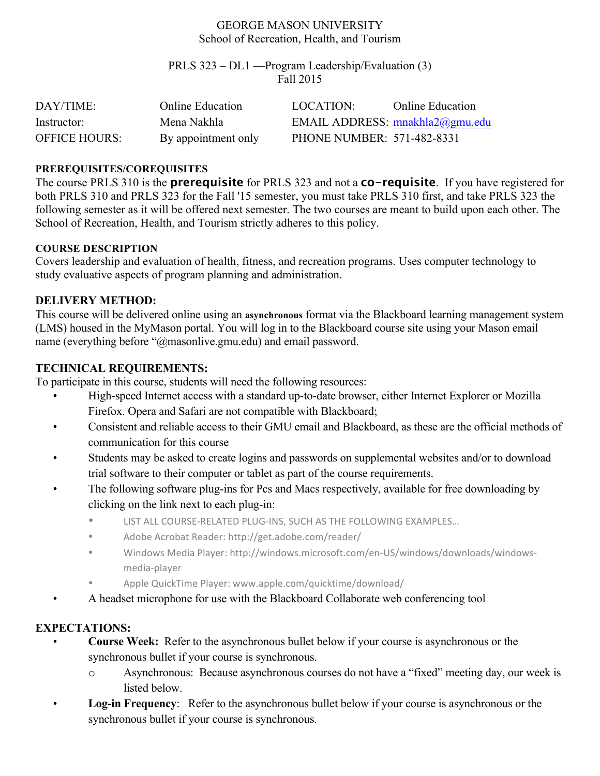# GEORGE MASON UNIVERSITY School of Recreation, Health, and Tourism

PRLS 323 – DL1 —Program Leadership/Evaluation (3) Fall 2015

| DAY/TIME:            | <b>Online Education</b> | LOCATION:                  | <b>Online Education</b>         |
|----------------------|-------------------------|----------------------------|---------------------------------|
| Instructor:          | Mena Nakhla             |                            | EMAIL ADDRESS: mnakhla2@gmu.edu |
| <b>OFFICE HOURS:</b> | By appointment only     | PHONE NUMBER: 571-482-8331 |                                 |

## **PREREQUISITES/COREQUISITES**

The course PRLS 310 is the **prerequisite** for PRLS 323 and not a **co-requisite**. If you have registered for both PRLS 310 and PRLS 323 for the Fall '15 semester, you must take PRLS 310 first, and take PRLS 323 the following semester as it will be offered next semester. The two courses are meant to build upon each other. The School of Recreation, Health, and Tourism strictly adheres to this policy.

### **COURSE DESCRIPTION**

Covers leadership and evaluation of health, fitness, and recreation programs. Uses computer technology to study evaluative aspects of program planning and administration.

## **DELIVERY METHOD:**

This course will be delivered online using an **asynchronous** format via the Blackboard learning management system (LMS) housed in the MyMason portal. You will log in to the Blackboard course site using your Mason email name (everything before "@masonlive.gmu.edu) and email password.

## **TECHNICAL REQUIREMENTS:**

To participate in this course, students will need the following resources:

- High-speed Internet access with a standard up-to-date browser, either Internet Explorer or Mozilla Firefox. Opera and Safari are not compatible with Blackboard;
- Consistent and reliable access to their GMU email and Blackboard, as these are the official methods of communication for this course
- Students may be asked to create logins and passwords on supplemental websites and/or to download trial software to their computer or tablet as part of the course requirements.
- The following software plug-ins for Pcs and Macs respectively, available for free downloading by clicking on the link next to each plug-in:
	- $\bullet$  LIST ALL COURSE-RELATED PLUG-INS, SUCH AS THE FOLLOWING EXAMPLES...
	- Adobe Acrobat Reader: http://get.adobe.com/reader/
	- Windows Media Player: http://windows.microsoft.com/en-US/windows/downloads/windowsmedia-player
	- Apple QuickTime Player: www.apple.com/quicktime/download/
- A headset microphone for use with the Blackboard Collaborate web conferencing tool

## **EXPECTATIONS:**

- **Course Week:** Refer to the asynchronous bullet below if your course is asynchronous or the synchronous bullet if your course is synchronous.
	- o Asynchronous: Because asynchronous courses do not have a "fixed" meeting day, our week is listed below.
- **Log-in Frequency**: Refer to the asynchronous bullet below if your course is asynchronous or the synchronous bullet if your course is synchronous.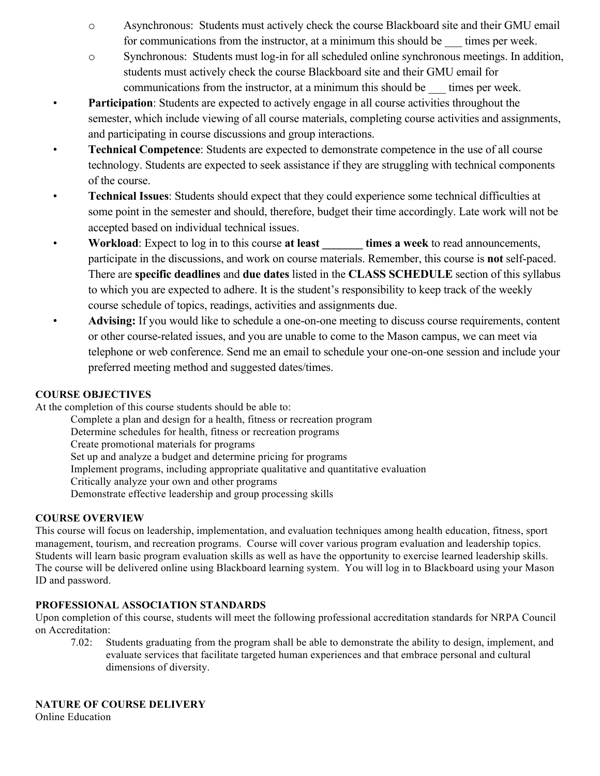- o Asynchronous: Students must actively check the course Blackboard site and their GMU email for communications from the instructor, at a minimum this should be times per week.
- o Synchronous: Students must log-in for all scheduled online synchronous meetings. In addition, students must actively check the course Blackboard site and their GMU email for communications from the instructor, at a minimum this should be \_\_\_ times per week.
- **Participation**: Students are expected to actively engage in all course activities throughout the semester, which include viewing of all course materials, completing course activities and assignments, and participating in course discussions and group interactions.
- **Technical Competence**: Students are expected to demonstrate competence in the use of all course technology. Students are expected to seek assistance if they are struggling with technical components of the course.
- **Technical Issues**: Students should expect that they could experience some technical difficulties at some point in the semester and should, therefore, budget their time accordingly. Late work will not be accepted based on individual technical issues.
- **Workload**: Expect to log in to this course **at least \_\_\_\_\_\_\_ times a week** to read announcements, participate in the discussions, and work on course materials. Remember, this course is **not** self-paced. There are **specific deadlines** and **due dates** listed in the **CLASS SCHEDULE** section of this syllabus to which you are expected to adhere. It is the student's responsibility to keep track of the weekly course schedule of topics, readings, activities and assignments due.
- **Advising:** If you would like to schedule a one-on-one meeting to discuss course requirements, content or other course-related issues, and you are unable to come to the Mason campus, we can meet via telephone or web conference. Send me an email to schedule your one-on-one session and include your preferred meeting method and suggested dates/times.

## **COURSE OBJECTIVES**

At the completion of this course students should be able to:

Complete a plan and design for a health, fitness or recreation program Determine schedules for health, fitness or recreation programs Create promotional materials for programs Set up and analyze a budget and determine pricing for programs Implement programs, including appropriate qualitative and quantitative evaluation Critically analyze your own and other programs Demonstrate effective leadership and group processing skills

# **COURSE OVERVIEW**

This course will focus on leadership, implementation, and evaluation techniques among health education, fitness, sport management, tourism, and recreation programs. Course will cover various program evaluation and leadership topics. Students will learn basic program evaluation skills as well as have the opportunity to exercise learned leadership skills. The course will be delivered online using Blackboard learning system. You will log in to Blackboard using your Mason ID and password.

## **PROFESSIONAL ASSOCIATION STANDARDS**

Upon completion of this course, students will meet the following professional accreditation standards for NRPA Council on Accreditation:

7.02: Students graduating from the program shall be able to demonstrate the ability to design, implement, and evaluate services that facilitate targeted human experiences and that embrace personal and cultural dimensions of diversity.

## **NATURE OF COURSE DELIVERY**

Online Education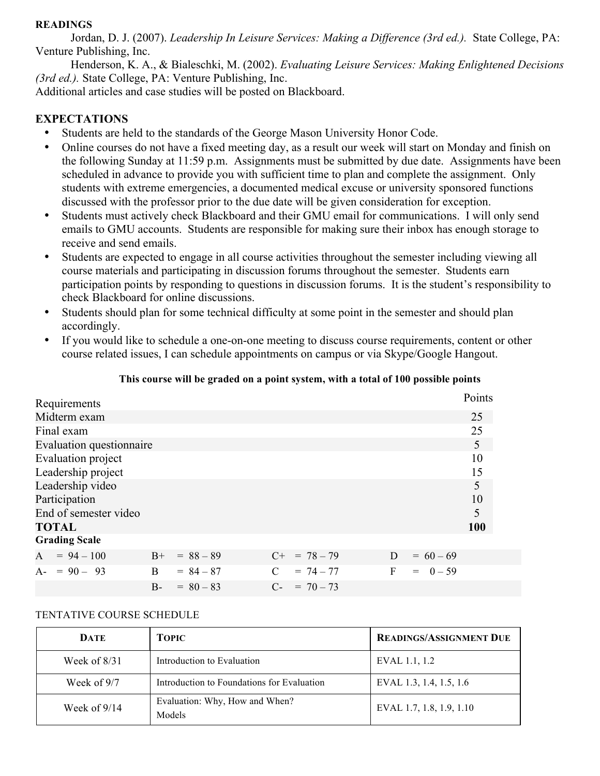## **READINGS**

Jordan, D. J. (2007). *Leadership In Leisure Services: Making a Difference (3rd ed.).* State College, PA: Venture Publishing, Inc.

Henderson, K. A., & Bialeschki, M. (2002). *Evaluating Leisure Services: Making Enlightened Decisions (3rd ed.).* State College, PA: Venture Publishing, Inc.

Additional articles and case studies will be posted on Blackboard.

## **EXPECTATIONS**

- Students are held to the standards of the George Mason University Honor Code.
- Online courses do not have a fixed meeting day, as a result our week will start on Monday and finish on the following Sunday at 11:59 p.m. Assignments must be submitted by due date. Assignments have been scheduled in advance to provide you with sufficient time to plan and complete the assignment. Only students with extreme emergencies, a documented medical excuse or university sponsored functions discussed with the professor prior to the due date will be given consideration for exception.
- Students must actively check Blackboard and their GMU email for communications. I will only send emails to GMU accounts. Students are responsible for making sure their inbox has enough storage to receive and send emails.
- Students are expected to engage in all course activities throughout the semester including viewing all course materials and participating in discussion forums throughout the semester. Students earn participation points by responding to questions in discussion forums. It is the student's responsibility to check Blackboard for online discussions.
- Students should plan for some technical difficulty at some point in the semester and should plan accordingly.
- If you would like to schedule a one-on-one meeting to discuss course requirements, content or other course related issues, I can schedule appointments on campus or via Skype/Google Hangout.

|                          |       |             |               |               |   |             | Points     |
|--------------------------|-------|-------------|---------------|---------------|---|-------------|------------|
| Requirements             |       |             |               |               |   |             |            |
| Midterm exam             |       |             |               |               |   |             | 25         |
| Final exam               |       |             |               |               |   |             | 25         |
| Evaluation questionnaire |       |             |               |               |   |             | 5          |
| Evaluation project       |       |             |               |               |   |             | 10         |
| Leadership project       |       |             |               |               |   |             | 15         |
| Leadership video         |       |             |               |               |   |             | 5          |
| Participation            |       |             |               |               |   |             | 10         |
| End of semester video    |       |             |               |               |   |             | 5          |
| TOTAL                    |       |             |               |               |   |             | <b>100</b> |
| <b>Grading Scale</b>     |       |             |               |               |   |             |            |
| $A = 94 - 100$           | $B+$  | $= 88 - 89$ |               | $C+ = 78-79$  | D | $= 60 - 69$ |            |
| $A = 90 - 93$            | B     | $= 84 - 87$ | $\mathcal{C}$ | $= 74 - 77$   | F | $= 0 - 59$  |            |
|                          | $B -$ | $= 80 - 83$ |               | $C - 70 - 73$ |   |             |            |

#### **This course will be graded on a point system, with a total of 100 possible points**

## TENTATIVE COURSE SCHEDULE

| <b>DATE</b>    | <b>TOPIC</b>                               | <b>READINGS/ASSIGNMENT DUE</b> |
|----------------|--------------------------------------------|--------------------------------|
| Week of $8/31$ | Introduction to Evaluation                 | EVAL 1.1, 1.2                  |
| Week of $9/7$  | Introduction to Foundations for Evaluation | EVAL 1.3, 1.4, 1.5, 1.6        |
| Week of $9/14$ | Evaluation: Why, How and When?<br>Models   | EVAL 1.7, 1.8, 1.9, 1.10       |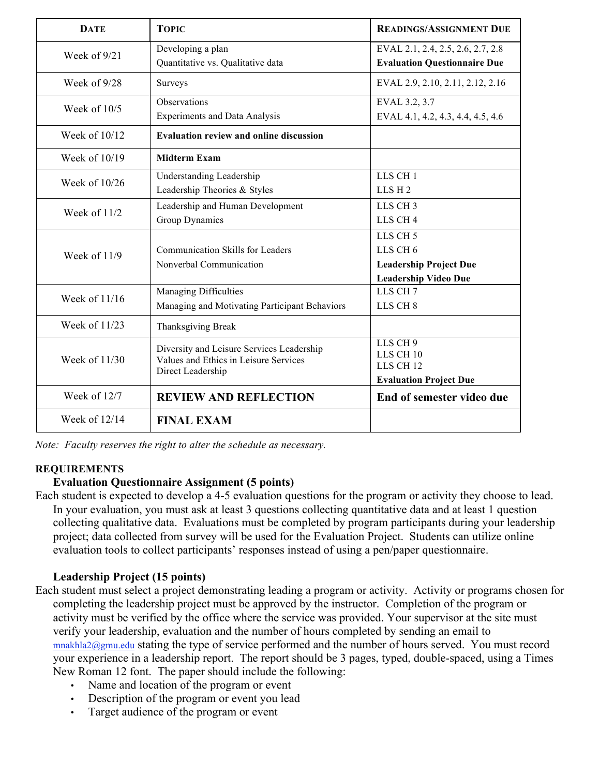| <b>DATE</b>    | <b>TOPIC</b>                                   | <b>READINGS/ASSIGNMENT DUE</b>      |
|----------------|------------------------------------------------|-------------------------------------|
| Week of 9/21   | Developing a plan                              | EVAL 2.1, 2.4, 2.5, 2.6, 2.7, 2.8   |
|                | Quantitative vs. Qualitative data              | <b>Evaluation Questionnaire Due</b> |
| Week of 9/28   | Surveys                                        | EVAL 2.9, 2.10, 2.11, 2.12, 2.16    |
| Week of $10/5$ | Observations                                   | EVAL 3.2, 3.7                       |
|                | <b>Experiments and Data Analysis</b>           | EVAL 4.1, 4.2, 4.3, 4.4, 4.5, 4.6   |
| Week of 10/12  | <b>Evaluation review and online discussion</b> |                                     |
| Week of 10/19  | <b>Midterm Exam</b>                            |                                     |
| Week of 10/26  | <b>Understanding Leadership</b>                | LLS CH <sub>1</sub>                 |
|                | Leadership Theories & Styles                   | LLS H <sub>2</sub>                  |
| Week of $11/2$ | Leadership and Human Development               | LLS CH <sub>3</sub>                 |
|                | Group Dynamics                                 | LLS CH <sub>4</sub>                 |
| Week of $11/9$ |                                                | LLS CH <sub>5</sub>                 |
|                | <b>Communication Skills for Leaders</b>        | LLS CH <sub>6</sub>                 |
|                | Nonverbal Communication                        | <b>Leadership Project Due</b>       |
|                |                                                | <b>Leadership Video Due</b>         |
| Week of 11/16  | <b>Managing Difficulties</b>                   | LLS CH <sub>7</sub>                 |
|                | Managing and Motivating Participant Behaviors  | LLS CH <sub>8</sub>                 |
| Week of 11/23  | Thanksgiving Break                             |                                     |
| Week of 11/30  | Diversity and Leisure Services Leadership      | LLS CH <sub>9</sub>                 |
|                | Values and Ethics in Leisure Services          | LLS CH 10<br>LLS CH <sub>12</sub>   |
|                | Direct Leadership                              | <b>Evaluation Project Due</b>       |
| Week of 12/7   | <b>REVIEW AND REFLECTION</b>                   | End of semester video due           |
| Week of 12/14  | <b>FINAL EXAM</b>                              |                                     |

*Note: Faculty reserves the right to alter the schedule as necessary.*

# **REQUIREMENTS**

# **Evaluation Questionnaire Assignment (5 points)**

Each student is expected to develop a 4-5 evaluation questions for the program or activity they choose to lead. In your evaluation, you must ask at least 3 questions collecting quantitative data and at least 1 question collecting qualitative data. Evaluations must be completed by program participants during your leadership project; data collected from survey will be used for the Evaluation Project. Students can utilize online evaluation tools to collect participants' responses instead of using a pen/paper questionnaire.

# **Leadership Project (15 points)**

Each student must select a project demonstrating leading a program or activity. Activity or programs chosen for completing the leadership project must be approved by the instructor. Completion of the program or activity must be verified by the office where the service was provided. Your supervisor at the site must verify your leadership, evaluation and the number of hours completed by sending an email to mnakhla2@gmu.edu stating the type of service performed and the number of hours served. You must record your experience in a leadership report. The report should be 3 pages, typed, double-spaced, using a Times New Roman 12 font. The paper should include the following:

- Name and location of the program or event
- Description of the program or event you lead
- Target audience of the program or event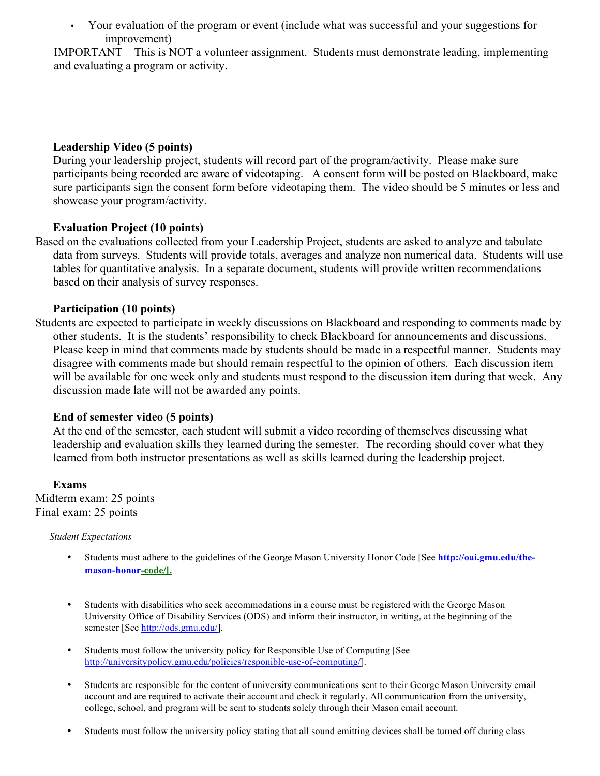• Your evaluation of the program or event (include what was successful and your suggestions for improvement)

IMPORTANT – This is NOT a volunteer assignment. Students must demonstrate leading, implementing and evaluating a program or activity.

# **Leadership Video (5 points)**

During your leadership project, students will record part of the program/activity. Please make sure participants being recorded are aware of videotaping. A consent form will be posted on Blackboard, make sure participants sign the consent form before videotaping them. The video should be 5 minutes or less and showcase your program/activity.

# **Evaluation Project (10 points)**

Based on the evaluations collected from your Leadership Project, students are asked to analyze and tabulate data from surveys. Students will provide totals, averages and analyze non numerical data. Students will use tables for quantitative analysis. In a separate document, students will provide written recommendations based on their analysis of survey responses.

# **Participation (10 points)**

Students are expected to participate in weekly discussions on Blackboard and responding to comments made by other students. It is the students' responsibility to check Blackboard for announcements and discussions. Please keep in mind that comments made by students should be made in a respectful manner. Students may disagree with comments made but should remain respectful to the opinion of others. Each discussion item will be available for one week only and students must respond to the discussion item during that week. Any discussion made late will not be awarded any points.

# **End of semester video (5 points)**

At the end of the semester, each student will submit a video recording of themselves discussing what leadership and evaluation skills they learned during the semester. The recording should cover what they learned from both instructor presentations as well as skills learned during the leadership project.

**Exams** Midterm exam: 25 points Final exam: 25 points

## *Student Expectations*

- Students must adhere to the guidelines of the George Mason University Honor Code [See **http://oai.gmu.edu/themason-honor-code/].**
- Students with disabilities who seek accommodations in a course must be registered with the George Mason University Office of Disability Services (ODS) and inform their instructor, in writing, at the beginning of the semester [See http://ods.gmu.edu/].
- Students must follow the university policy for Responsible Use of Computing [See http://universitypolicy.gmu.edu/policies/responible-use-of-computing/].
- Students are responsible for the content of university communications sent to their George Mason University email account and are required to activate their account and check it regularly. All communication from the university, college, school, and program will be sent to students solely through their Mason email account.
- Students must follow the university policy stating that all sound emitting devices shall be turned off during class